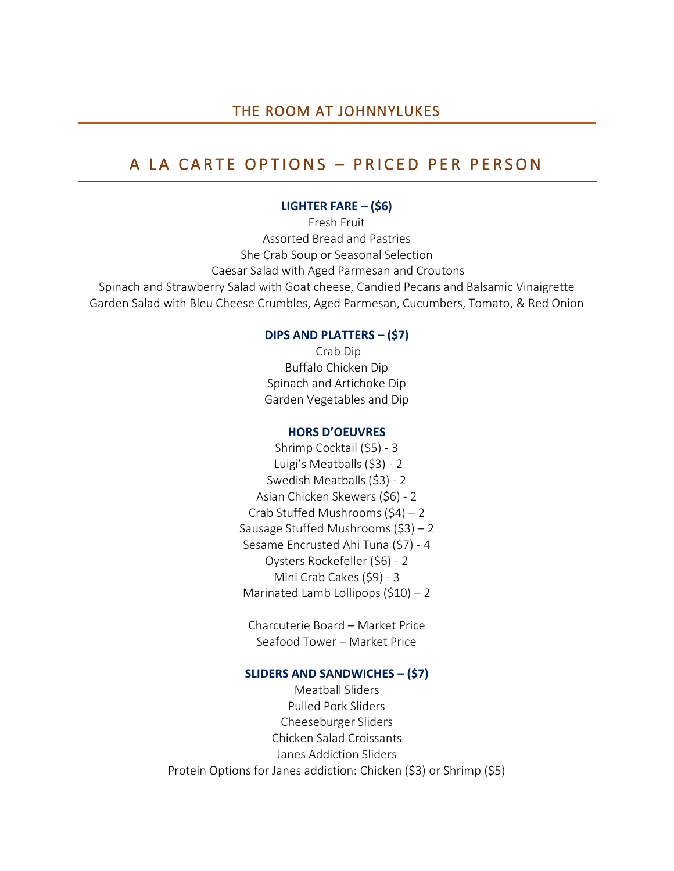# THE ROOM AT JOHNNYLUKES

# A LA CARTE OPTIONS – PRICED PER PERSON

### **LIGHTER FARE – (\$6)**

Fresh Fruit Assorted Bread and Pastries She Crab Soup or Seasonal Selection Caesar Salad with Aged Parmesan and Croutons Spinach and Strawberry Salad with Goat cheese, Candied Pecans and Balsamic Vinaigrette Garden Salad with Bleu Cheese Crumbles, Aged Parmesan, Cucumbers, Tomato, & Red Onion

### **DIPS AND PLATTERS – (\$7)**

 Crab Dip Buffalo Chicken Dip Spinach and Artichoke Dip Garden Vegetables and Dip

### **HORS D'OEUVRES**

Shrimp Cocktail (\$5) - 3 Luigi's Meatballs (\$3) - 2 Swedish Meatballs (\$3) - 2 Asian Chicken Skewers (\$6) - 2 Crab Stuffed Mushrooms (\$4) – 2 Sausage Stuffed Mushrooms (\$3) – 2 Sesame Encrusted Ahi Tuna (\$7) - 4 Oysters Rockefeller (\$6) - 2 Mini Crab Cakes (\$9) - 3 Marinated Lamb Lollipops  $(510) - 2$ 

Charcuterie Board – Market Price Seafood Tower – Market Price

### **SLIDERS AND SANDWICHES – (\$7)**

Meatball Sliders Pulled Pork Sliders Cheeseburger Sliders Chicken Salad Croissants Janes Addiction Sliders Protein Options for Janes addiction: Chicken (\$3) or Shrimp (\$5)